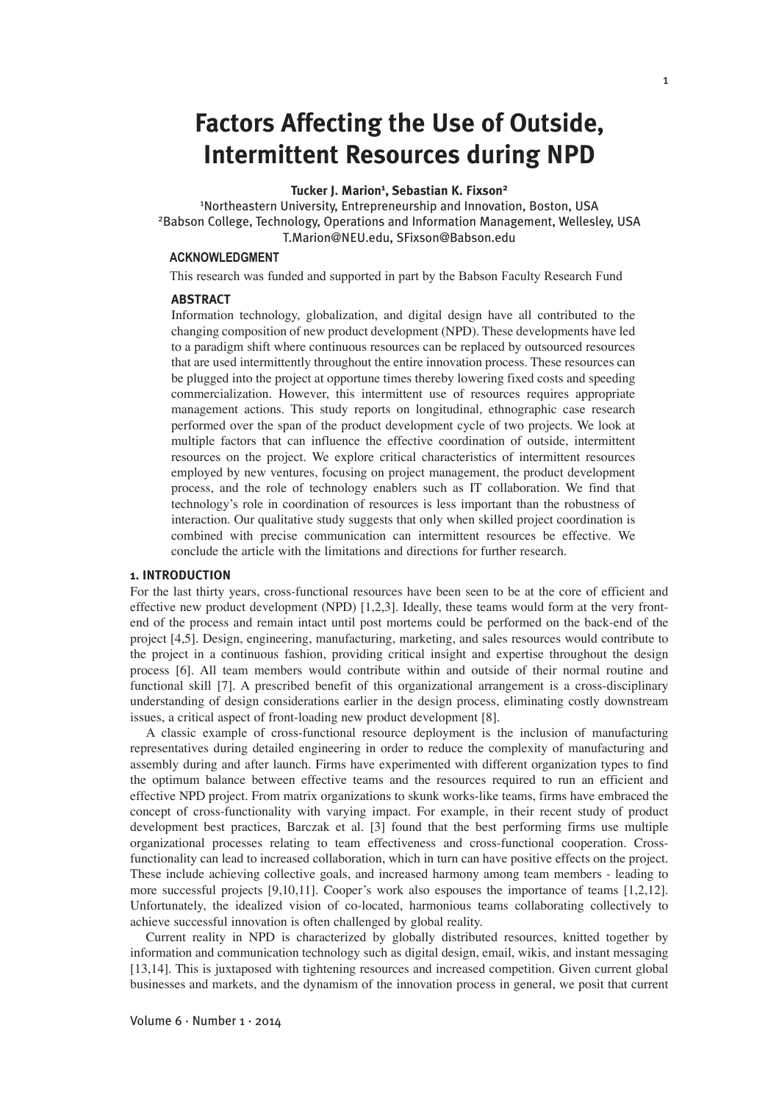# **Factors Affecting the Use of Outside, Intermittent Resources during NPD**

**Tucker J. Marion1 , Sebastian K. Fixson2**

1 Northeastern University, Entrepreneurship and Innovation, Boston, USA 2Babson College, Technology, Operations and Information Management, Wellesley, USA T.Marion@NEU.edu, SFixson@Babson.edu

## **ACKNOWLEDGMENT**

This research was funded and supported in part by the Babson Faculty Research Fund

## **ABSTRACT**

Information technology, globalization, and digital design have all contributed to the changing composition of new product development (NPD). These developments have led to a paradigm shift where continuous resources can be replaced by outsourced resources that are used intermittently throughout the entire innovation process. These resources can be plugged into the project at opportune times thereby lowering fixed costs and speeding commercialization. However, this intermittent use of resources requires appropriate management actions. This study reports on longitudinal, ethnographic case research performed over the span of the product development cycle of two projects. We look at multiple factors that can influence the effective coordination of outside, intermittent resources on the project. We explore critical characteristics of intermittent resources employed by new ventures, focusing on project management, the product development process, and the role of technology enablers such as IT collaboration. We find that technology's role in coordination of resources is less important than the robustness of interaction. Our qualitative study suggests that only when skilled project coordination is combined with precise communication can intermittent resources be effective. We conclude the article with the limitations and directions for further research.

## **1. INTRODUCTION**

For the last thirty years, cross-functional resources have been seen to be at the core of efficient and effective new product development (NPD) [1,2,3]. Ideally, these teams would form at the very frontend of the process and remain intact until post mortems could be performed on the back-end of the project [4,5]. Design, engineering, manufacturing, marketing, and sales resources would contribute to the project in a continuous fashion, providing critical insight and expertise throughout the design process [6]. All team members would contribute within and outside of their normal routine and functional skill [7]. A prescribed benefit of this organizational arrangement is a cross-disciplinary understanding of design considerations earlier in the design process, eliminating costly downstream issues, a critical aspect of front-loading new product development [8].

A classic example of cross-functional resource deployment is the inclusion of manufacturing representatives during detailed engineering in order to reduce the complexity of manufacturing and assembly during and after launch. Firms have experimented with different organization types to find the optimum balance between effective teams and the resources required to run an efficient and effective NPD project. From matrix organizations to skunk works-like teams, firms have embraced the concept of cross-functionality with varying impact. For example, in their recent study of product development best practices, Barczak et al. [3] found that the best performing firms use multiple organizational processes relating to team effectiveness and cross-functional cooperation. Crossfunctionality can lead to increased collaboration, which in turn can have positive effects on the project. These include achieving collective goals, and increased harmony among team members - leading to more successful projects [9,10,11]. Cooper's work also espouses the importance of teams [1,2,12]. Unfortunately, the idealized vision of co-located, harmonious teams collaborating collectively to achieve successful innovation is often challenged by global reality.

Current reality in NPD is characterized by globally distributed resources, knitted together by information and communication technology such as digital design, email, wikis, and instant messaging [13,14]. This is juxtaposed with tightening resources and increased competition. Given current global businesses and markets, and the dynamism of the innovation process in general, we posit that current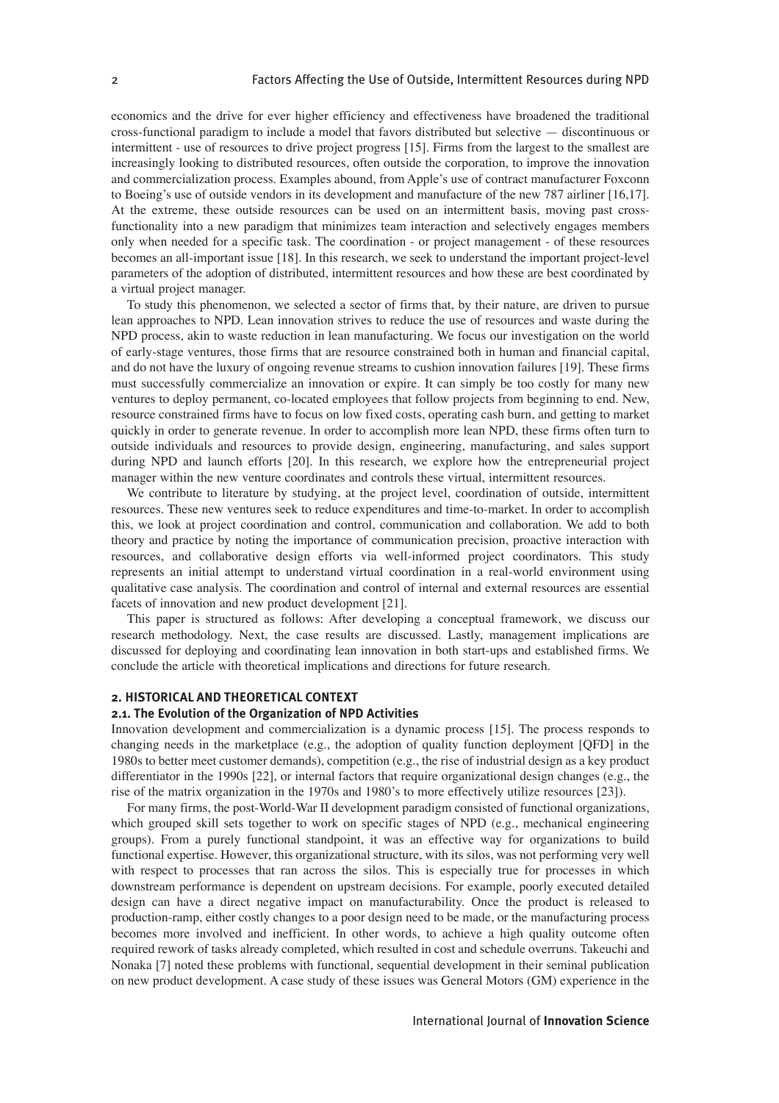economics and the drive for ever higher efficiency and effectiveness have broadened the traditional cross-functional paradigm to include a model that favors distributed but selective — discontinuous or intermittent - use of resources to drive project progress [15]. Firms from the largest to the smallest are increasingly looking to distributed resources, often outside the corporation, to improve the innovation and commercialization process. Examples abound, from Apple's use of contract manufacturer Foxconn to Boeing's use of outside vendors in its development and manufacture of the new 787 airliner [16,17]. At the extreme, these outside resources can be used on an intermittent basis, moving past crossfunctionality into a new paradigm that minimizes team interaction and selectively engages members only when needed for a specific task. The coordination - or project management - of these resources becomes an all-important issue [18]. In this research, we seek to understand the important project-level parameters of the adoption of distributed, intermittent resources and how these are best coordinated by a virtual project manager.

To study this phenomenon, we selected a sector of firms that, by their nature, are driven to pursue lean approaches to NPD. Lean innovation strives to reduce the use of resources and waste during the NPD process, akin to waste reduction in lean manufacturing. We focus our investigation on the world of early-stage ventures, those firms that are resource constrained both in human and financial capital, and do not have the luxury of ongoing revenue streams to cushion innovation failures [19]. These firms must successfully commercialize an innovation or expire. It can simply be too costly for many new ventures to deploy permanent, co-located employees that follow projects from beginning to end. New, resource constrained firms have to focus on low fixed costs, operating cash burn, and getting to market quickly in order to generate revenue. In order to accomplish more lean NPD, these firms often turn to outside individuals and resources to provide design, engineering, manufacturing, and sales support during NPD and launch efforts [20]. In this research, we explore how the entrepreneurial project manager within the new venture coordinates and controls these virtual, intermittent resources.

We contribute to literature by studying, at the project level, coordination of outside, intermittent resources. These new ventures seek to reduce expenditures and time-to-market. In order to accomplish this, we look at project coordination and control, communication and collaboration. We add to both theory and practice by noting the importance of communication precision, proactive interaction with resources, and collaborative design efforts via well-informed project coordinators. This study represents an initial attempt to understand virtual coordination in a real-world environment using qualitative case analysis. The coordination and control of internal and external resources are essential facets of innovation and new product development [21].

This paper is structured as follows: After developing a conceptual framework, we discuss our research methodology. Next, the case results are discussed. Lastly, management implications are discussed for deploying and coordinating lean innovation in both start-ups and established firms. We conclude the article with theoretical implications and directions for future research.

#### **2. HISTORICAL AND THEORETICAL CONTEXT**

## **2.1. The Evolution of the Organization of NPD Activities**

Innovation development and commercialization is a dynamic process [15]. The process responds to changing needs in the marketplace (e.g., the adoption of quality function deployment [QFD] in the 1980s to better meet customer demands), competition (e.g., the rise of industrial design as a key product differentiator in the 1990s [22], or internal factors that require organizational design changes (e.g., the rise of the matrix organization in the 1970s and 1980's to more effectively utilize resources [23]).

For many firms, the post-World-War II development paradigm consisted of functional organizations, which grouped skill sets together to work on specific stages of NPD (e.g., mechanical engineering groups). From a purely functional standpoint, it was an effective way for organizations to build functional expertise. However, this organizational structure, with its silos, was not performing very well with respect to processes that ran across the silos. This is especially true for processes in which downstream performance is dependent on upstream decisions. For example, poorly executed detailed design can have a direct negative impact on manufacturability. Once the product is released to production-ramp, either costly changes to a poor design need to be made, or the manufacturing process becomes more involved and inefficient. In other words, to achieve a high quality outcome often required rework of tasks already completed, which resulted in cost and schedule overruns. Takeuchi and Nonaka [7] noted these problems with functional, sequential development in their seminal publication on new product development. A case study of these issues was General Motors (GM) experience in the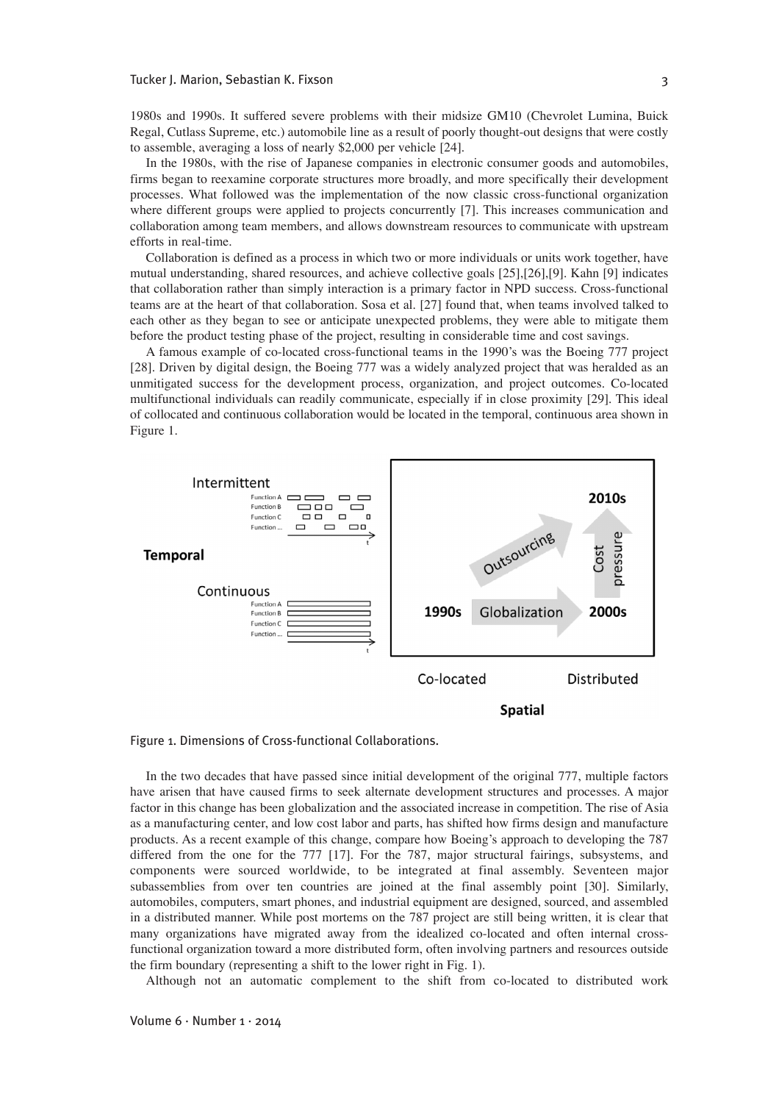1980s and 1990s. It suffered severe problems with their midsize GM10 (Chevrolet Lumina, Buick Regal, Cutlass Supreme, etc.) automobile line as a result of poorly thought-out designs that were costly to assemble, averaging a loss of nearly \$2,000 per vehicle [24].

In the 1980s, with the rise of Japanese companies in electronic consumer goods and automobiles, firms began to reexamine corporate structures more broadly, and more specifically their development processes. What followed was the implementation of the now classic cross-functional organization where different groups were applied to projects concurrently [7]. This increases communication and collaboration among team members, and allows downstream resources to communicate with upstream efforts in real-time.

Collaboration is defined as a process in which two or more individuals or units work together, have mutual understanding, shared resources, and achieve collective goals [25],[26],[9]. Kahn [9] indicates that collaboration rather than simply interaction is a primary factor in NPD success. Cross-functional teams are at the heart of that collaboration. Sosa et al. [27] found that, when teams involved talked to each other as they began to see or anticipate unexpected problems, they were able to mitigate them before the product testing phase of the project, resulting in considerable time and cost savings.

A famous example of co-located cross-functional teams in the 1990's was the Boeing 777 project [28]. Driven by digital design, the Boeing 777 was a widely analyzed project that was heralded as an unmitigated success for the development process, organization, and project outcomes. Co-located multifunctional individuals can readily communicate, especially if in close proximity [29]. This ideal of collocated and continuous collaboration would be located in the temporal, continuous area shown in Figure 1.



Figure 1. Dimensions of Cross-functional Collaborations.

In the two decades that have passed since initial development of the original 777, multiple factors have arisen that have caused firms to seek alternate development structures and processes. A major factor in this change has been globalization and the associated increase in competition. The rise of Asia as a manufacturing center, and low cost labor and parts, has shifted how firms design and manufacture products. As a recent example of this change, compare how Boeing's approach to developing the 787 differed from the one for the 777 [17]. For the 787, major structural fairings, subsystems, and components were sourced worldwide, to be integrated at final assembly. Seventeen major subassemblies from over ten countries are joined at the final assembly point [30]. Similarly, automobiles, computers, smart phones, and industrial equipment are designed, sourced, and assembled in a distributed manner. While post mortems on the 787 project are still being written, it is clear that many organizations have migrated away from the idealized co-located and often internal crossfunctional organization toward a more distributed form, often involving partners and resources outside the firm boundary (representing a shift to the lower right in Fig. 1).

Although not an automatic complement to the shift from co-located to distributed work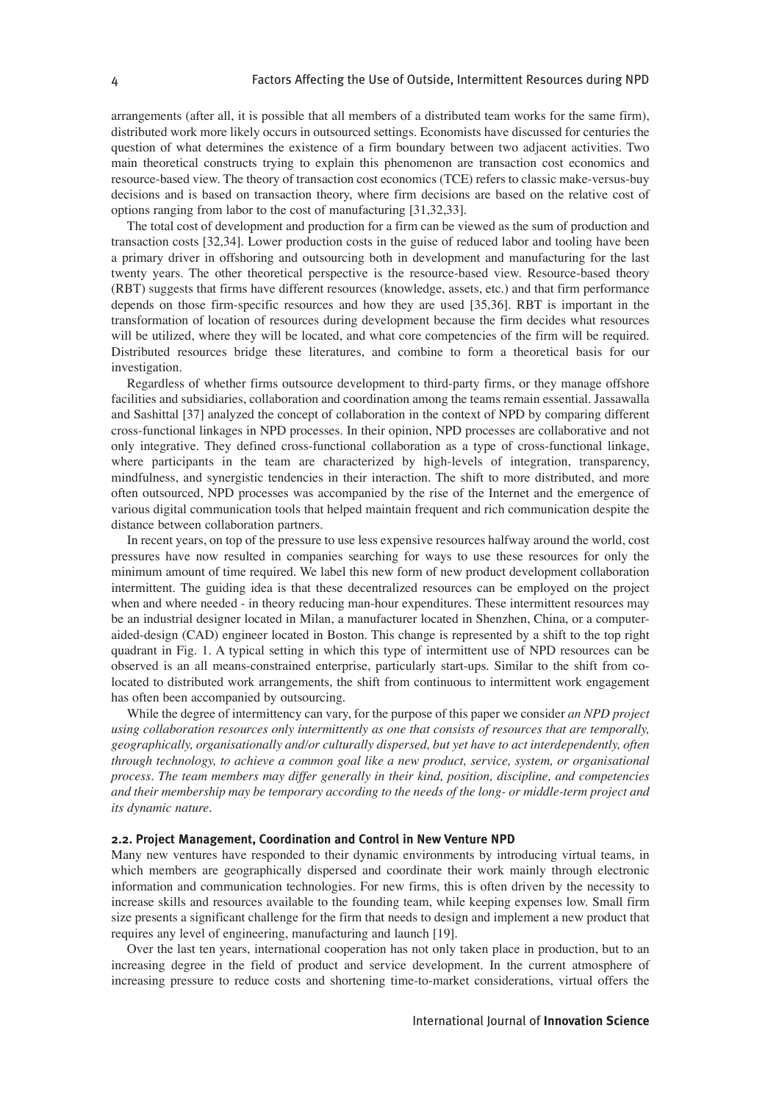arrangements (after all, it is possible that all members of a distributed team works for the same firm), distributed work more likely occurs in outsourced settings. Economists have discussed for centuries the question of what determines the existence of a firm boundary between two adjacent activities. Two main theoretical constructs trying to explain this phenomenon are transaction cost economics and resource-based view. The theory of transaction cost economics (TCE) refers to classic make-versus-buy decisions and is based on transaction theory, where firm decisions are based on the relative cost of options ranging from labor to the cost of manufacturing [31,32,33].

The total cost of development and production for a firm can be viewed as the sum of production and transaction costs [32,34]. Lower production costs in the guise of reduced labor and tooling have been a primary driver in offshoring and outsourcing both in development and manufacturing for the last twenty years. The other theoretical perspective is the resource-based view. Resource-based theory (RBT) suggests that firms have different resources (knowledge, assets, etc.) and that firm performance depends on those firm-specific resources and how they are used [35,36]. RBT is important in the transformation of location of resources during development because the firm decides what resources will be utilized, where they will be located, and what core competencies of the firm will be required. Distributed resources bridge these literatures, and combine to form a theoretical basis for our investigation.

Regardless of whether firms outsource development to third-party firms, or they manage offshore facilities and subsidiaries, collaboration and coordination among the teams remain essential. Jassawalla and Sashittal [37] analyzed the concept of collaboration in the context of NPD by comparing different cross-functional linkages in NPD processes. In their opinion, NPD processes are collaborative and not only integrative. They defined cross-functional collaboration as a type of cross-functional linkage, where participants in the team are characterized by high-levels of integration, transparency, mindfulness, and synergistic tendencies in their interaction. The shift to more distributed, and more often outsourced, NPD processes was accompanied by the rise of the Internet and the emergence of various digital communication tools that helped maintain frequent and rich communication despite the distance between collaboration partners.

In recent years, on top of the pressure to use less expensive resources halfway around the world, cost pressures have now resulted in companies searching for ways to use these resources for only the minimum amount of time required. We label this new form of new product development collaboration intermittent. The guiding idea is that these decentralized resources can be employed on the project when and where needed - in theory reducing man-hour expenditures. These intermittent resources may be an industrial designer located in Milan, a manufacturer located in Shenzhen, China, or a computeraided-design (CAD) engineer located in Boston. This change is represented by a shift to the top right quadrant in Fig. 1. A typical setting in which this type of intermittent use of NPD resources can be observed is an all means-constrained enterprise, particularly start-ups. Similar to the shift from colocated to distributed work arrangements, the shift from continuous to intermittent work engagement has often been accompanied by outsourcing.

While the degree of intermittency can vary, for the purpose of this paper we consider *an NPD project using collaboration resources only intermittently as one that consists of resources that are temporally, geographically, organisationally and/or culturally dispersed, but yet have to act interdependently, often through technology, to achieve a common goal like a new product, service, system, or organisational process. The team members may differ generally in their kind, position, discipline, and competencies and their membership may be temporary according to the needs of the long- or middle-term project and its dynamic nature.* 

## **2.2. Project Management, Coordination and Control in New Venture NPD**

Many new ventures have responded to their dynamic environments by introducing virtual teams, in which members are geographically dispersed and coordinate their work mainly through electronic information and communication technologies. For new firms, this is often driven by the necessity to increase skills and resources available to the founding team, while keeping expenses low. Small firm size presents a significant challenge for the firm that needs to design and implement a new product that requires any level of engineering, manufacturing and launch [19].

Over the last ten years, international cooperation has not only taken place in production, but to an increasing degree in the field of product and service development. In the current atmosphere of increasing pressure to reduce costs and shortening time-to-market considerations, virtual offers the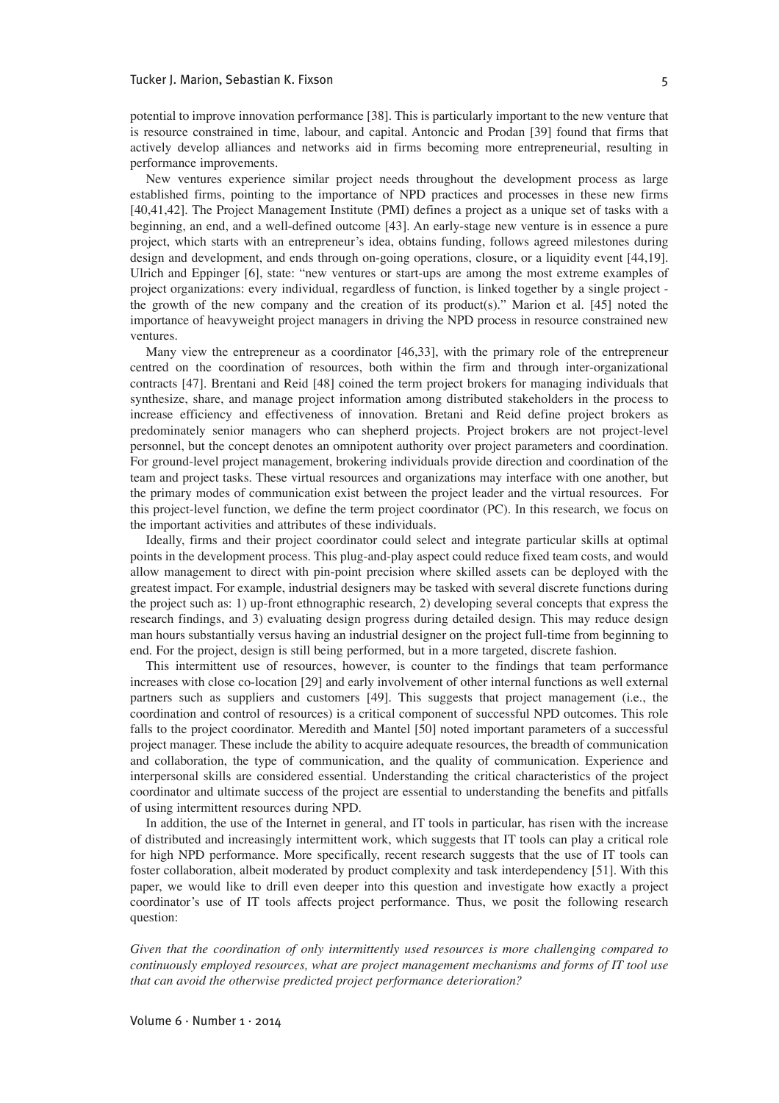potential to improve innovation performance [38]. This is particularly important to the new venture that is resource constrained in time, labour, and capital. Antoncic and Prodan [39] found that firms that actively develop alliances and networks aid in firms becoming more entrepreneurial, resulting in performance improvements.

New ventures experience similar project needs throughout the development process as large established firms, pointing to the importance of NPD practices and processes in these new firms [40,41,42]. The Project Management Institute (PMI) defines a project as a unique set of tasks with a beginning, an end, and a well-defined outcome [43]. An early-stage new venture is in essence a pure project, which starts with an entrepreneur's idea, obtains funding, follows agreed milestones during design and development, and ends through on-going operations, closure, or a liquidity event [44,19]. Ulrich and Eppinger [6], state: "new ventures or start-ups are among the most extreme examples of project organizations: every individual, regardless of function, is linked together by a single project the growth of the new company and the creation of its product(s)." Marion et al. [45] noted the importance of heavyweight project managers in driving the NPD process in resource constrained new ventures.

Many view the entrepreneur as a coordinator [46,33], with the primary role of the entrepreneur centred on the coordination of resources, both within the firm and through inter-organizational contracts [47]. Brentani and Reid [48] coined the term project brokers for managing individuals that synthesize, share, and manage project information among distributed stakeholders in the process to increase efficiency and effectiveness of innovation. Bretani and Reid define project brokers as predominately senior managers who can shepherd projects. Project brokers are not project-level personnel, but the concept denotes an omnipotent authority over project parameters and coordination. For ground-level project management, brokering individuals provide direction and coordination of the team and project tasks. These virtual resources and organizations may interface with one another, but the primary modes of communication exist between the project leader and the virtual resources. For this project-level function, we define the term project coordinator (PC). In this research, we focus on the important activities and attributes of these individuals.

Ideally, firms and their project coordinator could select and integrate particular skills at optimal points in the development process. This plug-and-play aspect could reduce fixed team costs, and would allow management to direct with pin-point precision where skilled assets can be deployed with the greatest impact. For example, industrial designers may be tasked with several discrete functions during the project such as: 1) up-front ethnographic research, 2) developing several concepts that express the research findings, and 3) evaluating design progress during detailed design. This may reduce design man hours substantially versus having an industrial designer on the project full-time from beginning to end. For the project, design is still being performed, but in a more targeted, discrete fashion.

This intermittent use of resources, however, is counter to the findings that team performance increases with close co-location [29] and early involvement of other internal functions as well external partners such as suppliers and customers [49]. This suggests that project management (i.e., the coordination and control of resources) is a critical component of successful NPD outcomes. This role falls to the project coordinator. Meredith and Mantel [50] noted important parameters of a successful project manager. These include the ability to acquire adequate resources, the breadth of communication and collaboration, the type of communication, and the quality of communication. Experience and interpersonal skills are considered essential. Understanding the critical characteristics of the project coordinator and ultimate success of the project are essential to understanding the benefits and pitfalls of using intermittent resources during NPD.

In addition, the use of the Internet in general, and IT tools in particular, has risen with the increase of distributed and increasingly intermittent work, which suggests that IT tools can play a critical role for high NPD performance. More specifically, recent research suggests that the use of IT tools can foster collaboration, albeit moderated by product complexity and task interdependency [51]. With this paper, we would like to drill even deeper into this question and investigate how exactly a project coordinator's use of IT tools affects project performance. Thus, we posit the following research question:

*Given that the coordination of only intermittently used resources is more challenging compared to continuously employed resources, what are project management mechanisms and forms of IT tool use that can avoid the otherwise predicted project performance deterioration?*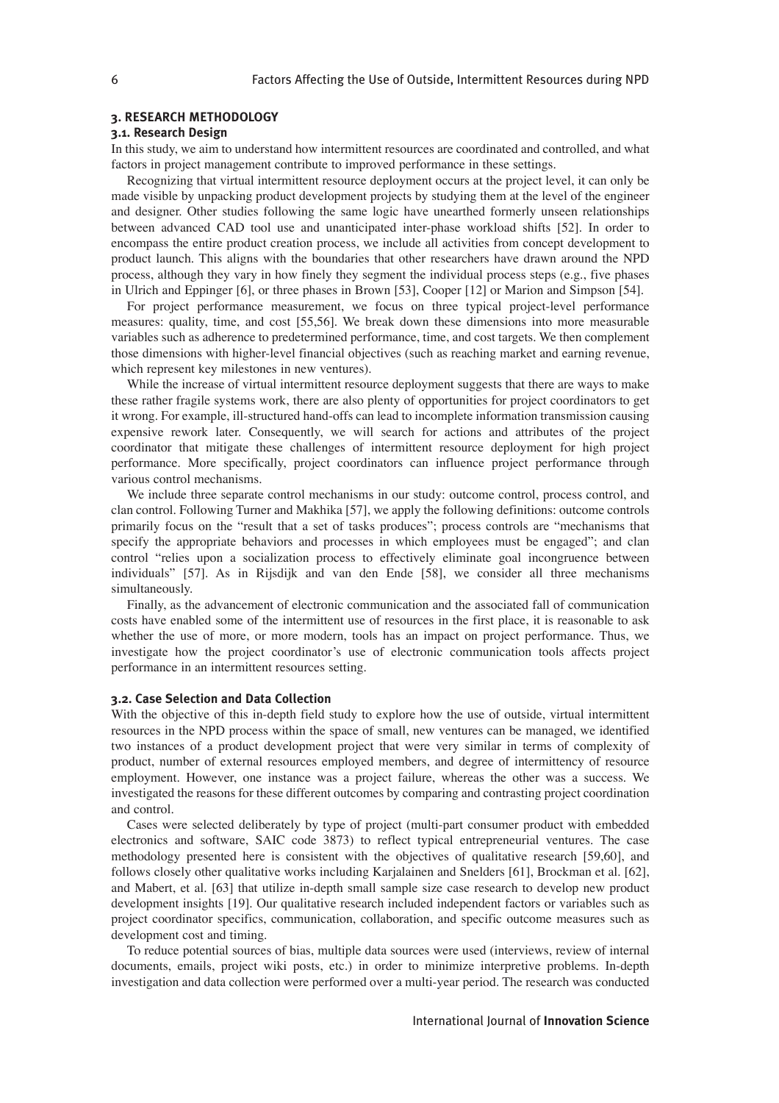#### **3. RESEARCH METHODOLOGY**

## **3.1. Research Design**

In this study, we aim to understand how intermittent resources are coordinated and controlled, and what factors in project management contribute to improved performance in these settings.

Recognizing that virtual intermittent resource deployment occurs at the project level, it can only be made visible by unpacking product development projects by studying them at the level of the engineer and designer. Other studies following the same logic have unearthed formerly unseen relationships between advanced CAD tool use and unanticipated inter-phase workload shifts [52]. In order to encompass the entire product creation process, we include all activities from concept development to product launch. This aligns with the boundaries that other researchers have drawn around the NPD process, although they vary in how finely they segment the individual process steps (e.g., five phases in Ulrich and Eppinger [6], or three phases in Brown [53], Cooper [12] or Marion and Simpson [54].

For project performance measurement, we focus on three typical project-level performance measures: quality, time, and cost [55,56]. We break down these dimensions into more measurable variables such as adherence to predetermined performance, time, and cost targets. We then complement those dimensions with higher-level financial objectives (such as reaching market and earning revenue, which represent key milestones in new ventures).

While the increase of virtual intermittent resource deployment suggests that there are ways to make these rather fragile systems work, there are also plenty of opportunities for project coordinators to get it wrong. For example, ill-structured hand-offs can lead to incomplete information transmission causing expensive rework later. Consequently, we will search for actions and attributes of the project coordinator that mitigate these challenges of intermittent resource deployment for high project performance. More specifically, project coordinators can influence project performance through various control mechanisms.

We include three separate control mechanisms in our study: outcome control, process control, and clan control. Following Turner and Makhika [57], we apply the following definitions: outcome controls primarily focus on the "result that a set of tasks produces"; process controls are "mechanisms that specify the appropriate behaviors and processes in which employees must be engaged"; and clan control "relies upon a socialization process to effectively eliminate goal incongruence between individuals" [57]. As in Rijsdijk and van den Ende [58], we consider all three mechanisms simultaneously.

Finally, as the advancement of electronic communication and the associated fall of communication costs have enabled some of the intermittent use of resources in the first place, it is reasonable to ask whether the use of more, or more modern, tools has an impact on project performance. Thus, we investigate how the project coordinator's use of electronic communication tools affects project performance in an intermittent resources setting.

#### **3.2. Case Selection and Data Collection**

With the objective of this in-depth field study to explore how the use of outside, virtual intermittent resources in the NPD process within the space of small, new ventures can be managed, we identified two instances of a product development project that were very similar in terms of complexity of product, number of external resources employed members, and degree of intermittency of resource employment. However, one instance was a project failure, whereas the other was a success. We investigated the reasons for these different outcomes by comparing and contrasting project coordination and control.

Cases were selected deliberately by type of project (multi-part consumer product with embedded electronics and software, SAIC code 3873) to reflect typical entrepreneurial ventures. The case methodology presented here is consistent with the objectives of qualitative research [59,60], and follows closely other qualitative works including Karjalainen and Snelders [61], Brockman et al. [62], and Mabert, et al. [63] that utilize in-depth small sample size case research to develop new product development insights [19]. Our qualitative research included independent factors or variables such as project coordinator specifics, communication, collaboration, and specific outcome measures such as development cost and timing.

To reduce potential sources of bias, multiple data sources were used (interviews, review of internal documents, emails, project wiki posts, etc.) in order to minimize interpretive problems. In-depth investigation and data collection were performed over a multi-year period. The research was conducted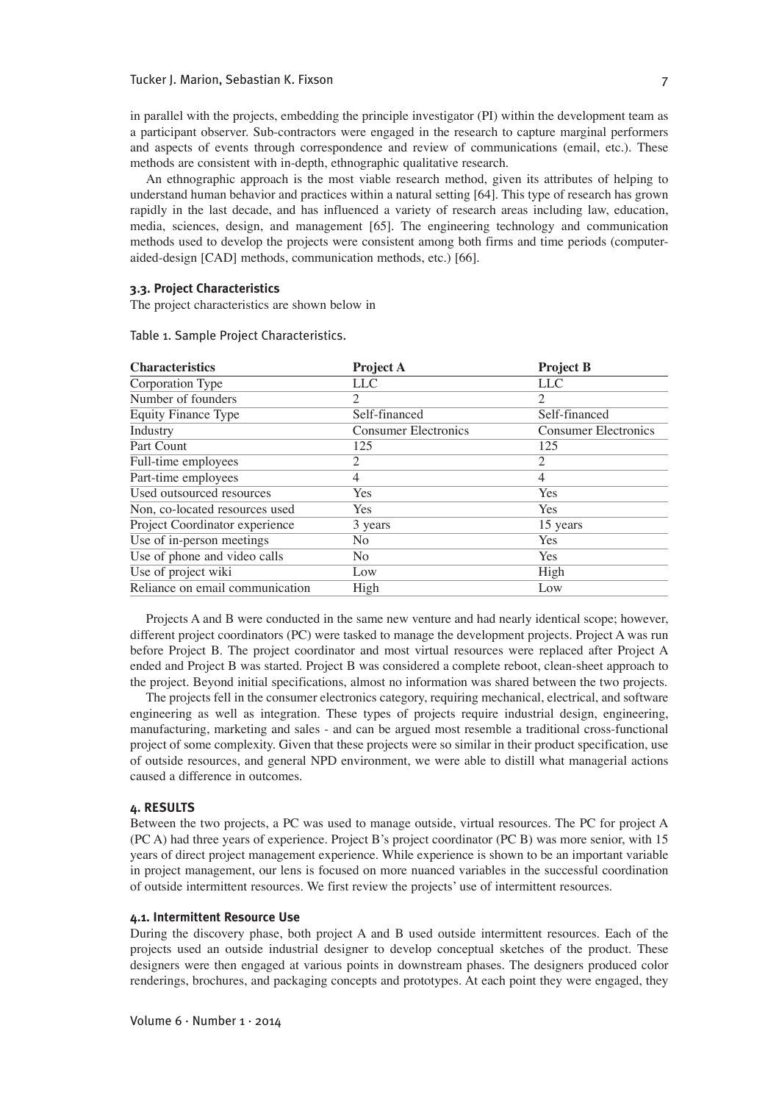in parallel with the projects, embedding the principle investigator (PI) within the development team as a participant observer. Sub-contractors were engaged in the research to capture marginal performers and aspects of events through correspondence and review of communications (email, etc.). These methods are consistent with in-depth, ethnographic qualitative research.

An ethnographic approach is the most viable research method, given its attributes of helping to understand human behavior and practices within a natural setting [64]. This type of research has grown rapidly in the last decade, and has influenced a variety of research areas including law, education, media, sciences, design, and management [65]. The engineering technology and communication methods used to develop the projects were consistent among both firms and time periods (computeraided-design [CAD] methods, communication methods, etc.) [66].

## **3.3. Project Characteristics**

The project characteristics are shown below in

| <b>Characteristics</b>          | <b>Project A</b>            | <b>Project B</b>            |
|---------------------------------|-----------------------------|-----------------------------|
| Corporation Type                | LLC                         | LLC                         |
| Number of founders              | 2                           | 2                           |
| Equity Finance Type             | Self-financed               | Self-financed               |
| Industry                        | <b>Consumer Electronics</b> | <b>Consumer Electronics</b> |
| Part Count                      | 125                         | 125                         |
| Full-time employees             | $\overline{c}$              | 2                           |
| Part-time employees             | 4                           | 4                           |
| Used outsourced resources       | <b>Yes</b>                  | Yes                         |
| Non, co-located resources used  | Yes                         | Yes                         |
| Project Coordinator experience  | 3 years                     | 15 years                    |
| Use of in-person meetings       | N <sub>0</sub>              | Yes                         |
| Use of phone and video calls    | No.                         | Yes                         |
| Use of project wiki             | Low                         | High                        |
| Reliance on email communication | High                        | Low                         |

Table 1. Sample Project Characteristics.

Projects A and B were conducted in the same new venture and had nearly identical scope; however, different project coordinators (PC) were tasked to manage the development projects. Project A was run before Project B. The project coordinator and most virtual resources were replaced after Project A ended and Project B was started. Project B was considered a complete reboot, clean-sheet approach to the project. Beyond initial specifications, almost no information was shared between the two projects.

The projects fell in the consumer electronics category, requiring mechanical, electrical, and software engineering as well as integration. These types of projects require industrial design, engineering, manufacturing, marketing and sales - and can be argued most resemble a traditional cross-functional project of some complexity. Given that these projects were so similar in their product specification, use of outside resources, and general NPD environment, we were able to distill what managerial actions caused a difference in outcomes.

## **4. RESULTS**

Between the two projects, a PC was used to manage outside, virtual resources. The PC for project A (PC A) had three years of experience. Project B's project coordinator (PC B) was more senior, with 15 years of direct project management experience. While experience is shown to be an important variable in project management, our lens is focused on more nuanced variables in the successful coordination of outside intermittent resources. We first review the projects' use of intermittent resources.

#### **4.1. Intermittent Resource Use**

During the discovery phase, both project A and B used outside intermittent resources. Each of the projects used an outside industrial designer to develop conceptual sketches of the product. These designers were then engaged at various points in downstream phases. The designers produced color renderings, brochures, and packaging concepts and prototypes. At each point they were engaged, they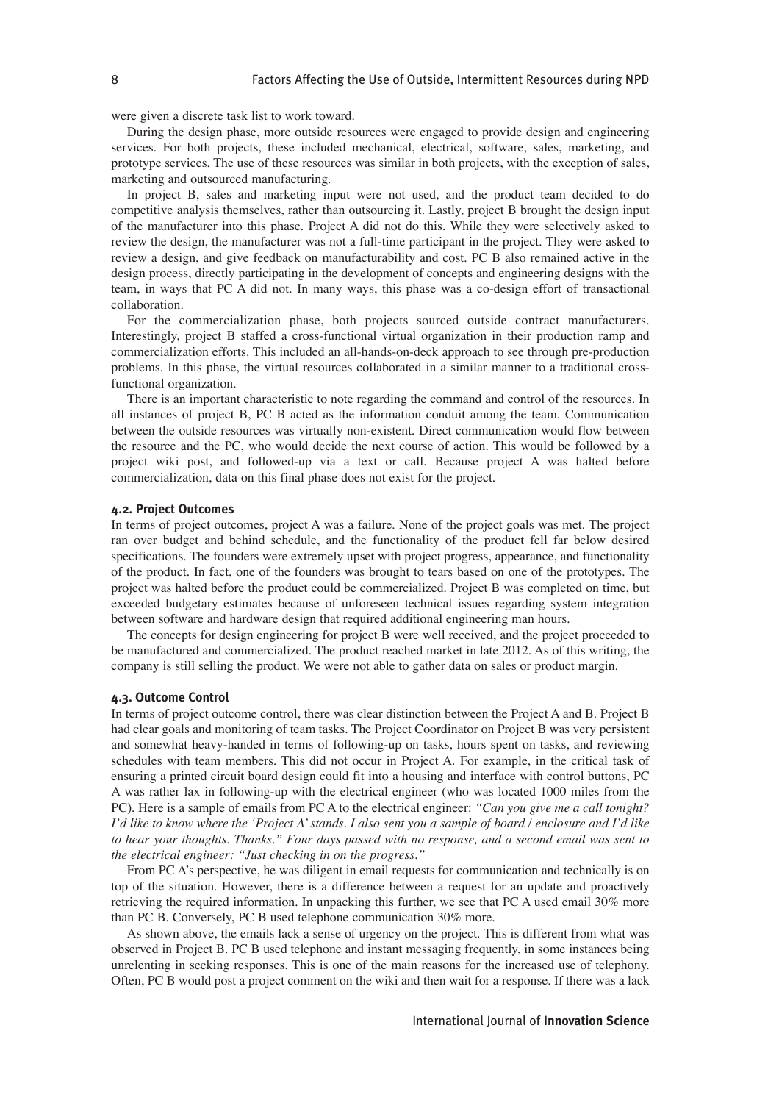were given a discrete task list to work toward.

During the design phase, more outside resources were engaged to provide design and engineering services. For both projects, these included mechanical, electrical, software, sales, marketing, and prototype services. The use of these resources was similar in both projects, with the exception of sales, marketing and outsourced manufacturing.

In project B, sales and marketing input were not used, and the product team decided to do competitive analysis themselves, rather than outsourcing it. Lastly, project B brought the design input of the manufacturer into this phase. Project A did not do this. While they were selectively asked to review the design, the manufacturer was not a full-time participant in the project. They were asked to review a design, and give feedback on manufacturability and cost. PC B also remained active in the design process, directly participating in the development of concepts and engineering designs with the team, in ways that PC A did not. In many ways, this phase was a co-design effort of transactional collaboration.

For the commercialization phase, both projects sourced outside contract manufacturers. Interestingly, project B staffed a cross-functional virtual organization in their production ramp and commercialization efforts. This included an all-hands-on-deck approach to see through pre-production problems. In this phase, the virtual resources collaborated in a similar manner to a traditional crossfunctional organization.

There is an important characteristic to note regarding the command and control of the resources. In all instances of project B, PC B acted as the information conduit among the team. Communication between the outside resources was virtually non-existent. Direct communication would flow between the resource and the PC, who would decide the next course of action. This would be followed by a project wiki post, and followed-up via a text or call. Because project A was halted before commercialization, data on this final phase does not exist for the project.

## **4.2. Project Outcomes**

In terms of project outcomes, project A was a failure. None of the project goals was met. The project ran over budget and behind schedule, and the functionality of the product fell far below desired specifications. The founders were extremely upset with project progress, appearance, and functionality of the product. In fact, one of the founders was brought to tears based on one of the prototypes. The project was halted before the product could be commercialized. Project B was completed on time, but exceeded budgetary estimates because of unforeseen technical issues regarding system integration between software and hardware design that required additional engineering man hours.

The concepts for design engineering for project B were well received, and the project proceeded to be manufactured and commercialized. The product reached market in late 2012. As of this writing, the company is still selling the product. We were not able to gather data on sales or product margin.

#### **4.3. Outcome Control**

In terms of project outcome control, there was clear distinction between the Project A and B. Project B had clear goals and monitoring of team tasks. The Project Coordinator on Project B was very persistent and somewhat heavy-handed in terms of following-up on tasks, hours spent on tasks, and reviewing schedules with team members. This did not occur in Project A. For example, in the critical task of ensuring a printed circuit board design could fit into a housing and interface with control buttons, PC A was rather lax in following-up with the electrical engineer (who was located 1000 miles from the PC). Here is a sample of emails from PC A to the electrical engineer: *"Can you give me a call tonight? I'd like to know where the 'Project A' stands. I also sent you a sample of board / enclosure and I'd like to hear your thoughts. Thanks." Four days passed with no response, and a second email was sent to the electrical engineer: "Just checking in on the progress."* 

From PC A's perspective, he was diligent in email requests for communication and technically is on top of the situation. However, there is a difference between a request for an update and proactively retrieving the required information. In unpacking this further, we see that PC A used email 30% more than PC B. Conversely, PC B used telephone communication 30% more.

As shown above, the emails lack a sense of urgency on the project. This is different from what was observed in Project B. PC B used telephone and instant messaging frequently, in some instances being unrelenting in seeking responses. This is one of the main reasons for the increased use of telephony. Often, PC B would post a project comment on the wiki and then wait for a response. If there was a lack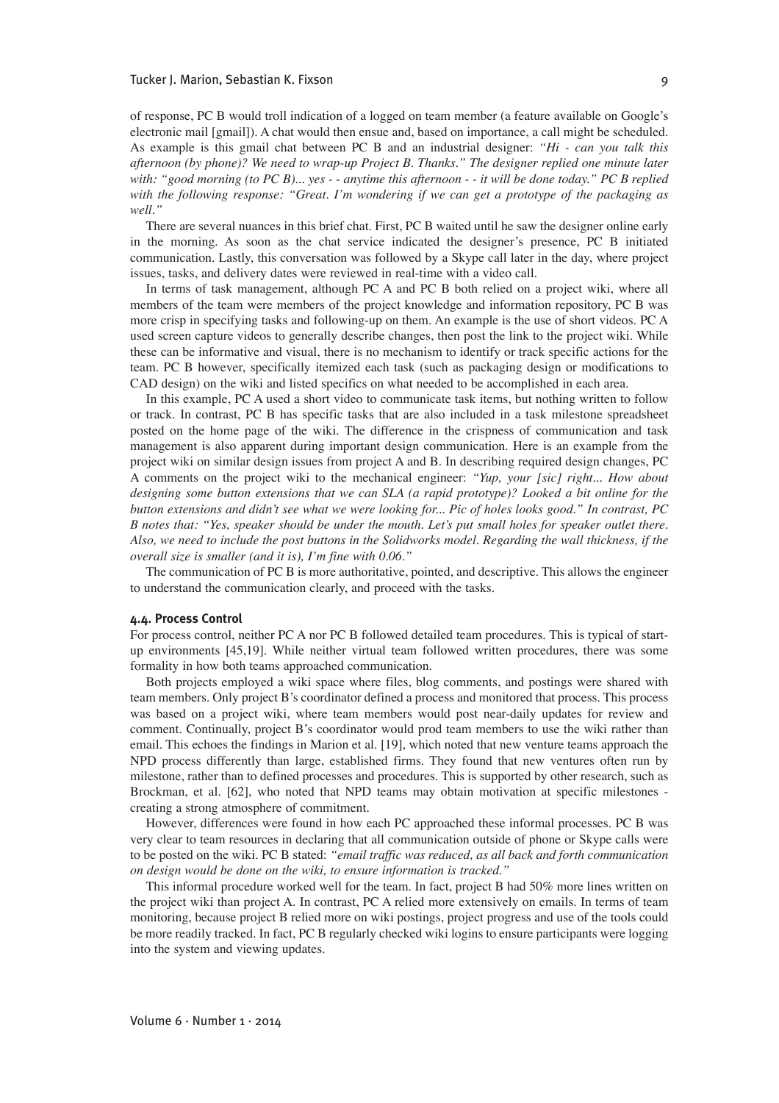of response, PC B would troll indication of a logged on team member (a feature available on Google's electronic mail [gmail]). A chat would then ensue and, based on importance, a call might be scheduled. As example is this gmail chat between PC B and an industrial designer: *"Hi - can you talk this afternoon (by phone)? We need to wrap-up Project B. Thanks." The designer replied one minute later with: "good morning (to PC B)... yes - - anytime this afternoon - - it will be done today." PC B replied with the following response: "Great. I'm wondering if we can get a prototype of the packaging as well."*

There are several nuances in this brief chat. First, PC B waited until he saw the designer online early in the morning. As soon as the chat service indicated the designer's presence, PC B initiated communication. Lastly, this conversation was followed by a Skype call later in the day, where project issues, tasks, and delivery dates were reviewed in real-time with a video call.

In terms of task management, although PC A and PC B both relied on a project wiki, where all members of the team were members of the project knowledge and information repository, PC B was more crisp in specifying tasks and following-up on them. An example is the use of short videos. PC A used screen capture videos to generally describe changes, then post the link to the project wiki. While these can be informative and visual, there is no mechanism to identify or track specific actions for the team. PC B however, specifically itemized each task (such as packaging design or modifications to CAD design) on the wiki and listed specifics on what needed to be accomplished in each area.

In this example, PC A used a short video to communicate task items, but nothing written to follow or track. In contrast, PC B has specific tasks that are also included in a task milestone spreadsheet posted on the home page of the wiki. The difference in the crispness of communication and task management is also apparent during important design communication. Here is an example from the project wiki on similar design issues from project A and B. In describing required design changes, PC A comments on the project wiki to the mechanical engineer: *"Yup, your [sic] right... How about designing some button extensions that we can SLA (a rapid prototype)? Looked a bit online for the button extensions and didn't see what we were looking for... Pic of holes looks good." In contrast, PC B notes that: "Yes, speaker should be under the mouth. Let's put small holes for speaker outlet there. Also, we need to include the post buttons in the Solidworks model. Regarding the wall thickness, if the overall size is smaller (and it is), I'm fine with 0.06."*

The communication of PC B is more authoritative, pointed, and descriptive. This allows the engineer to understand the communication clearly, and proceed with the tasks.

#### **4.4. Process Control**

For process control, neither PC A nor PC B followed detailed team procedures. This is typical of startup environments [45,19]. While neither virtual team followed written procedures, there was some formality in how both teams approached communication.

Both projects employed a wiki space where files, blog comments, and postings were shared with team members. Only project B's coordinator defined a process and monitored that process. This process was based on a project wiki, where team members would post near-daily updates for review and comment. Continually, project B's coordinator would prod team members to use the wiki rather than email. This echoes the findings in Marion et al. [19], which noted that new venture teams approach the NPD process differently than large, established firms. They found that new ventures often run by milestone, rather than to defined processes and procedures. This is supported by other research, such as Brockman, et al. [62], who noted that NPD teams may obtain motivation at specific milestones creating a strong atmosphere of commitment.

However, differences were found in how each PC approached these informal processes. PC B was very clear to team resources in declaring that all communication outside of phone or Skype calls were to be posted on the wiki. PC B stated: *"email traffic was reduced, as all back and forth communication on design would be done on the wiki, to ensure information is tracked."* 

This informal procedure worked well for the team. In fact, project B had 50% more lines written on the project wiki than project A. In contrast, PC A relied more extensively on emails. In terms of team monitoring, because project B relied more on wiki postings, project progress and use of the tools could be more readily tracked. In fact, PC B regularly checked wiki logins to ensure participants were logging into the system and viewing updates.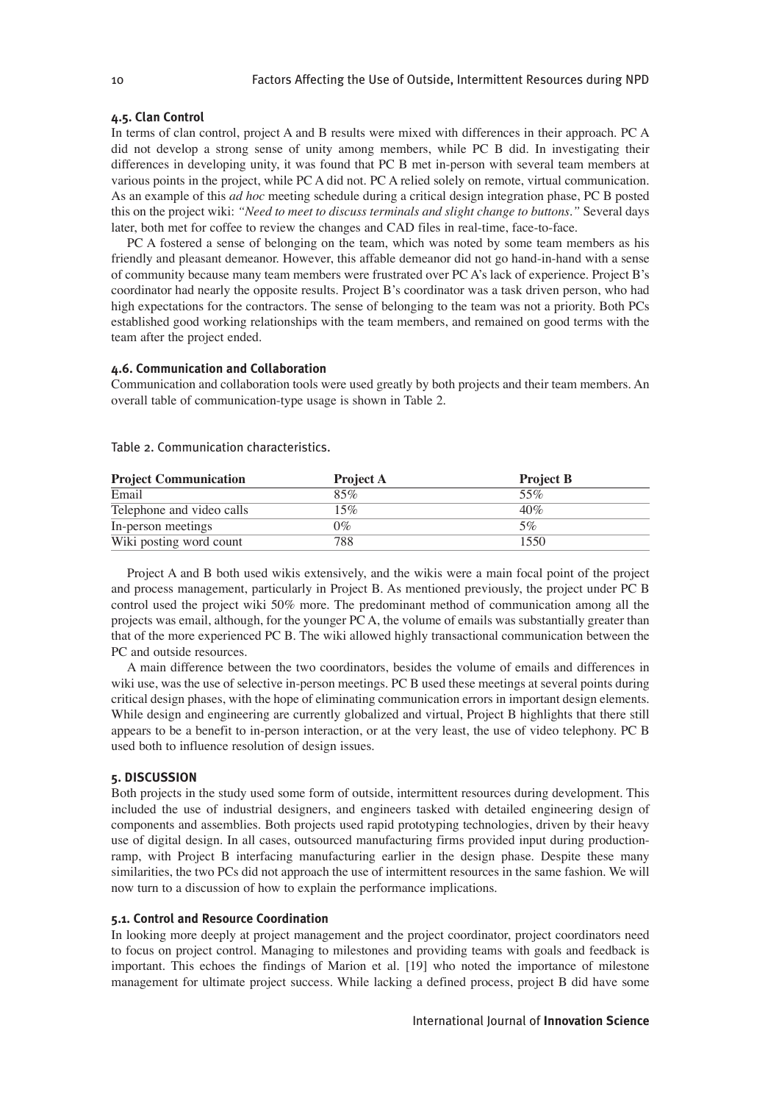## **4.5. Clan Control**

In terms of clan control, project A and B results were mixed with differences in their approach. PC A did not develop a strong sense of unity among members, while PC B did. In investigating their differences in developing unity, it was found that PC B met in-person with several team members at various points in the project, while PC A did not. PC A relied solely on remote, virtual communication. As an example of this *ad hoc* meeting schedule during a critical design integration phase, PC B posted this on the project wiki: *"Need to meet to discuss terminals and slight change to buttons."* Several days later, both met for coffee to review the changes and CAD files in real-time, face-to-face.

PC A fostered a sense of belonging on the team, which was noted by some team members as his friendly and pleasant demeanor. However, this affable demeanor did not go hand-in-hand with a sense of community because many team members were frustrated over PC A's lack of experience. Project B's coordinator had nearly the opposite results. Project B's coordinator was a task driven person, who had high expectations for the contractors. The sense of belonging to the team was not a priority. Both PCs established good working relationships with the team members, and remained on good terms with the team after the project ended.

## **4.6. Communication and Collaboration**

Communication and collaboration tools were used greatly by both projects and their team members. An overall table of communication-type usage is shown in Table 2.

| <b>Project Communication</b> | <b>Project A</b> | <b>Project B</b> |
|------------------------------|------------------|------------------|
| Email                        | 85%              | 55%              |
| Telephone and video calls    | $15\%$           | 40%              |
| In-person meetings           | 0%               | $5\%$            |
| Wiki posting word count      | 788              | 1550             |

Table 2. Communication characteristics.

Project A and B both used wikis extensively, and the wikis were a main focal point of the project and process management, particularly in Project B. As mentioned previously, the project under PC B control used the project wiki 50% more. The predominant method of communication among all the projects was email, although, for the younger PC A, the volume of emails was substantially greater than that of the more experienced PC B. The wiki allowed highly transactional communication between the PC and outside resources.

A main difference between the two coordinators, besides the volume of emails and differences in wiki use, was the use of selective in-person meetings. PC B used these meetings at several points during critical design phases, with the hope of eliminating communication errors in important design elements. While design and engineering are currently globalized and virtual, Project B highlights that there still appears to be a benefit to in-person interaction, or at the very least, the use of video telephony. PC B used both to influence resolution of design issues.

## **5. DISCUSSION**

Both projects in the study used some form of outside, intermittent resources during development. This included the use of industrial designers, and engineers tasked with detailed engineering design of components and assemblies. Both projects used rapid prototyping technologies, driven by their heavy use of digital design. In all cases, outsourced manufacturing firms provided input during productionramp, with Project B interfacing manufacturing earlier in the design phase. Despite these many similarities, the two PCs did not approach the use of intermittent resources in the same fashion. We will now turn to a discussion of how to explain the performance implications.

## **5.1. Control and Resource Coordination**

In looking more deeply at project management and the project coordinator, project coordinators need to focus on project control. Managing to milestones and providing teams with goals and feedback is important. This echoes the findings of Marion et al. [19] who noted the importance of milestone management for ultimate project success. While lacking a defined process, project B did have some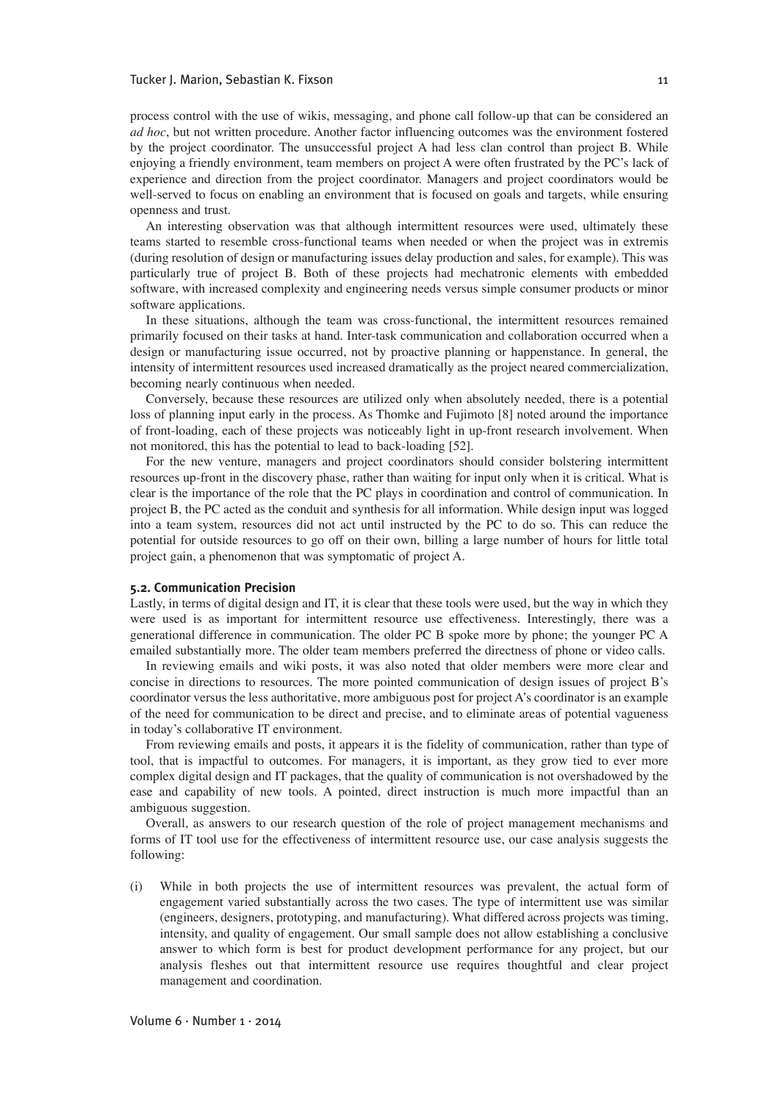#### Tucker J. Marion, Sebastian K. Fixson 11 12 12 12 13 14 15 16 17 18 18 19 18 19 18 19 18 19 18 19 18 19 18 19 1

process control with the use of wikis, messaging, and phone call follow-up that can be considered an *ad hoc*, but not written procedure. Another factor influencing outcomes was the environment fostered by the project coordinator. The unsuccessful project A had less clan control than project B. While enjoying a friendly environment, team members on project A were often frustrated by the PC's lack of experience and direction from the project coordinator. Managers and project coordinators would be well-served to focus on enabling an environment that is focused on goals and targets, while ensuring openness and trust.

An interesting observation was that although intermittent resources were used, ultimately these teams started to resemble cross-functional teams when needed or when the project was in extremis (during resolution of design or manufacturing issues delay production and sales, for example). This was particularly true of project B. Both of these projects had mechatronic elements with embedded software, with increased complexity and engineering needs versus simple consumer products or minor software applications.

In these situations, although the team was cross-functional, the intermittent resources remained primarily focused on their tasks at hand. Inter-task communication and collaboration occurred when a design or manufacturing issue occurred, not by proactive planning or happenstance. In general, the intensity of intermittent resources used increased dramatically as the project neared commercialization, becoming nearly continuous when needed.

Conversely, because these resources are utilized only when absolutely needed, there is a potential loss of planning input early in the process. As Thomke and Fujimoto [8] noted around the importance of front-loading, each of these projects was noticeably light in up-front research involvement. When not monitored, this has the potential to lead to back-loading [52].

For the new venture, managers and project coordinators should consider bolstering intermittent resources up-front in the discovery phase, rather than waiting for input only when it is critical. What is clear is the importance of the role that the PC plays in coordination and control of communication. In project B, the PC acted as the conduit and synthesis for all information. While design input was logged into a team system, resources did not act until instructed by the PC to do so. This can reduce the potential for outside resources to go off on their own, billing a large number of hours for little total project gain, a phenomenon that was symptomatic of project A.

#### **5.2. Communication Precision**

Lastly, in terms of digital design and IT, it is clear that these tools were used, but the way in which they were used is as important for intermittent resource use effectiveness. Interestingly, there was a generational difference in communication. The older PC B spoke more by phone; the younger PC A emailed substantially more. The older team members preferred the directness of phone or video calls.

In reviewing emails and wiki posts, it was also noted that older members were more clear and concise in directions to resources. The more pointed communication of design issues of project B's coordinator versus the less authoritative, more ambiguous post for project A's coordinator is an example of the need for communication to be direct and precise, and to eliminate areas of potential vagueness in today's collaborative IT environment.

From reviewing emails and posts, it appears it is the fidelity of communication, rather than type of tool, that is impactful to outcomes. For managers, it is important, as they grow tied to ever more complex digital design and IT packages, that the quality of communication is not overshadowed by the ease and capability of new tools. A pointed, direct instruction is much more impactful than an ambiguous suggestion.

Overall, as answers to our research question of the role of project management mechanisms and forms of IT tool use for the effectiveness of intermittent resource use, our case analysis suggests the following:

(i) While in both projects the use of intermittent resources was prevalent, the actual form of engagement varied substantially across the two cases. The type of intermittent use was similar (engineers, designers, prototyping, and manufacturing). What differed across projects was timing, intensity, and quality of engagement. Our small sample does not allow establishing a conclusive answer to which form is best for product development performance for any project, but our analysis fleshes out that intermittent resource use requires thoughtful and clear project management and coordination.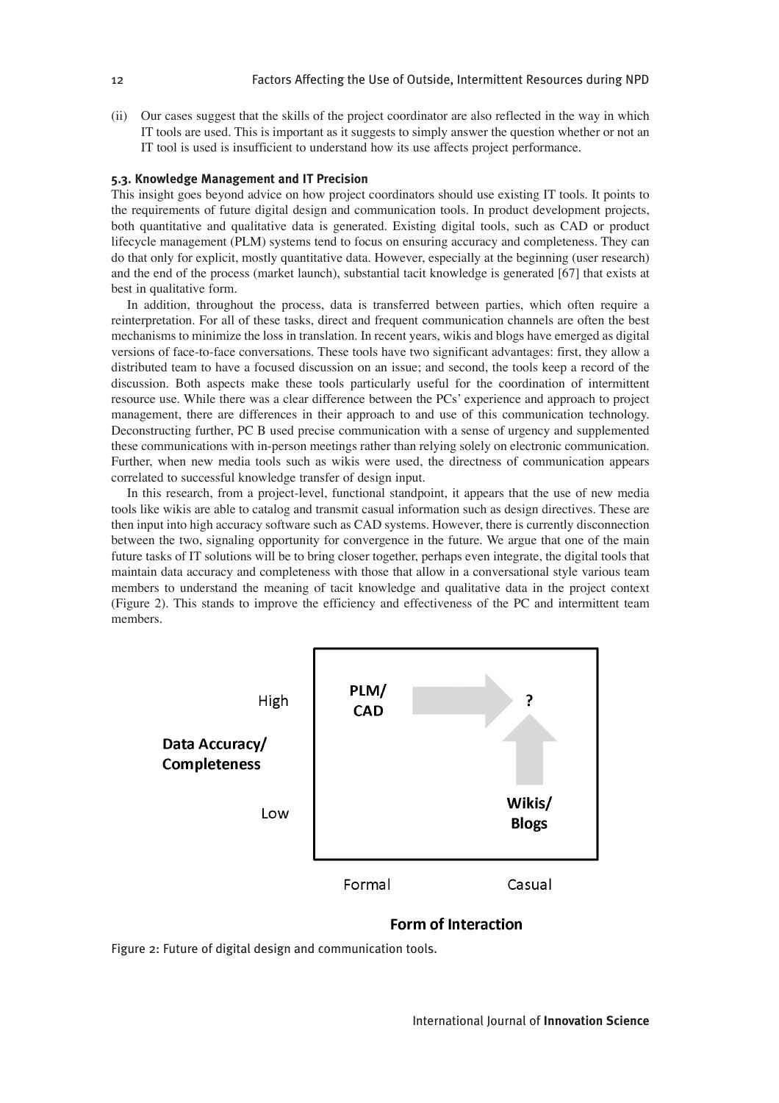(ii) Our cases suggest that the skills of the project coordinator are also reflected in the way in which IT tools are used. This is important as it suggests to simply answer the question whether or not an IT tool is used is insufficient to understand how its use affects project performance.

## **5.3. Knowledge Management and IT Precision**

This insight goes beyond advice on how project coordinators should use existing IT tools. It points to the requirements of future digital design and communication tools. In product development projects, both quantitative and qualitative data is generated. Existing digital tools, such as CAD or product lifecycle management (PLM) systems tend to focus on ensuring accuracy and completeness. They can do that only for explicit, mostly quantitative data. However, especially at the beginning (user research) and the end of the process (market launch), substantial tacit knowledge is generated [67] that exists at best in qualitative form.

In addition, throughout the process, data is transferred between parties, which often require a reinterpretation. For all of these tasks, direct and frequent communication channels are often the best mechanisms to minimize the loss in translation. In recent years, wikis and blogs have emerged as digital versions of face-to-face conversations. These tools have two significant advantages: first, they allow a distributed team to have a focused discussion on an issue; and second, the tools keep a record of the discussion. Both aspects make these tools particularly useful for the coordination of intermittent resource use. While there was a clear difference between the PCs' experience and approach to project management, there are differences in their approach to and use of this communication technology. Deconstructing further, PC B used precise communication with a sense of urgency and supplemented these communications with in-person meetings rather than relying solely on electronic communication. Further, when new media tools such as wikis were used, the directness of communication appears correlated to successful knowledge transfer of design input.

In this research, from a project-level, functional standpoint, it appears that the use of new media tools like wikis are able to catalog and transmit casual information such as design directives. These are then input into high accuracy software such as CAD systems. However, there is currently disconnection between the two, signaling opportunity for convergence in the future. We argue that one of the main future tasks of IT solutions will be to bring closer together, perhaps even integrate, the digital tools that maintain data accuracy and completeness with those that allow in a conversational style various team members to understand the meaning of tacit knowledge and qualitative data in the project context (Figure 2). This stands to improve the efficiency and effectiveness of the PC and intermittent team members.



## **Form of Interaction**

Figure 2: Future of digital design and communication tools.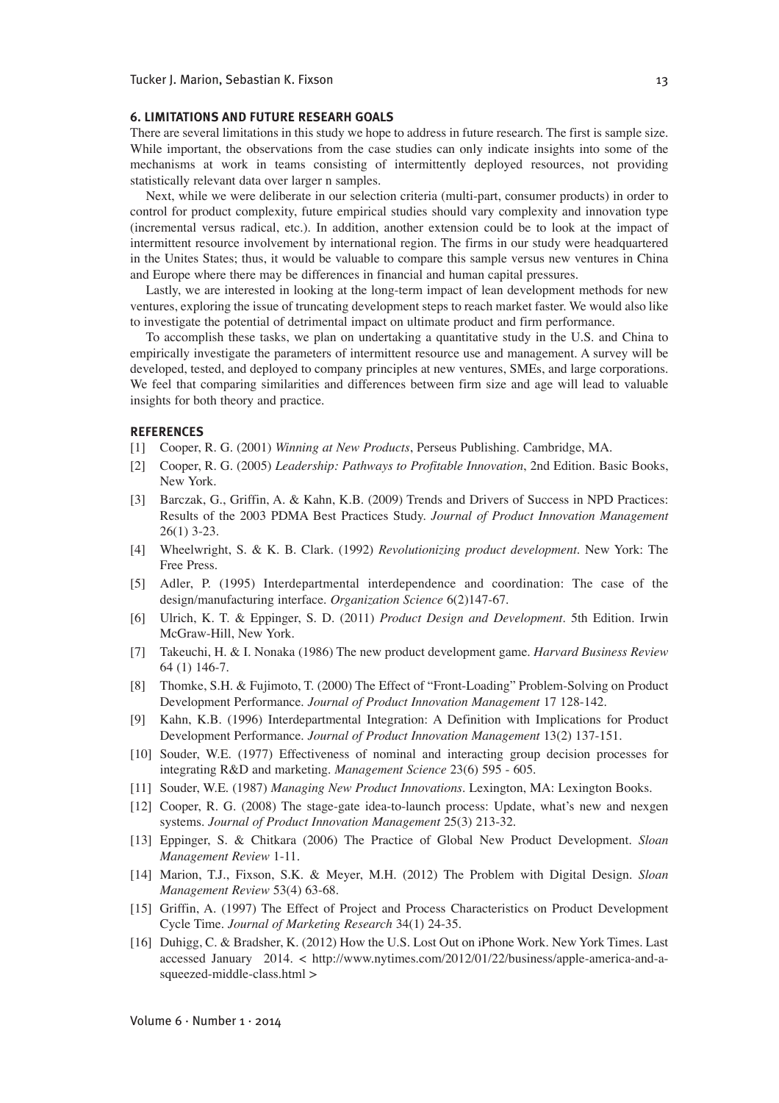## **6. LIMITATIONS AND FUTURE RESEARH GOALS**

There are several limitations in this study we hope to address in future research. The first is sample size. While important, the observations from the case studies can only indicate insights into some of the mechanisms at work in teams consisting of intermittently deployed resources, not providing statistically relevant data over larger n samples.

Next, while we were deliberate in our selection criteria (multi-part, consumer products) in order to control for product complexity, future empirical studies should vary complexity and innovation type (incremental versus radical, etc.). In addition, another extension could be to look at the impact of intermittent resource involvement by international region. The firms in our study were headquartered in the Unites States; thus, it would be valuable to compare this sample versus new ventures in China and Europe where there may be differences in financial and human capital pressures.

Lastly, we are interested in looking at the long-term impact of lean development methods for new ventures, exploring the issue of truncating development steps to reach market faster. We would also like to investigate the potential of detrimental impact on ultimate product and firm performance.

To accomplish these tasks, we plan on undertaking a quantitative study in the U.S. and China to empirically investigate the parameters of intermittent resource use and management. A survey will be developed, tested, and deployed to company principles at new ventures, SMEs, and large corporations. We feel that comparing similarities and differences between firm size and age will lead to valuable insights for both theory and practice.

## **REFERENCES**

- [1] Cooper, R. G. (2001) *Winning at New Products*, Perseus Publishing. Cambridge, MA.
- [2] Cooper, R. G. (2005) *Leadership: Pathways to Profitable Innovation*, 2nd Edition. Basic Books, New York.
- [3] Barczak, G., Griffin, A. & Kahn, K.B. (2009) Trends and Drivers of Success in NPD Practices: Results of the 2003 PDMA Best Practices Study. *Journal of Product Innovation Management* 26(1) 3-23.
- [4] Wheelwright, S. & K. B. Clark. (1992) *Revolutionizing product development*. New York: The Free Press.
- [5] Adler, P. (1995) Interdepartmental interdependence and coordination: The case of the design/manufacturing interface. *Organization Science* 6(2)147-67.
- [6] Ulrich, K. T. & Eppinger, S. D. (2011) *Product Design and Development*. 5th Edition. Irwin McGraw-Hill, New York.
- [7] Takeuchi, H. & I. Nonaka (1986) The new product development game. *Harvard Business Review* 64 (1) 146-7.
- [8] Thomke, S.H. & Fujimoto, T. (2000) The Effect of "Front-Loading" Problem-Solving on Product Development Performance. *Journal of Product Innovation Management* 17 128-142.
- [9] Kahn, K.B. (1996) Interdepartmental Integration: A Definition with Implications for Product Development Performance. *Journal of Product Innovation Management* 13(2) 137-151.
- [10] Souder, W.E. (1977) Effectiveness of nominal and interacting group decision processes for integrating R&D and marketing. *Management Science* 23(6) 595 - 605.
- [11] Souder, W.E. (1987) *Managing New Product Innovations*. Lexington, MA: Lexington Books.
- [12] Cooper, R. G. (2008) The stage-gate idea-to-launch process: Update, what's new and nexgen systems. *Journal of Product Innovation Management* 25(3) 213-32.
- [13] Eppinger, S. & Chitkara (2006) The Practice of Global New Product Development. *Sloan Management Review* 1-11.
- [14] Marion, T.J., Fixson, S.K. & Meyer, M.H. (2012) The Problem with Digital Design. *Sloan Management Review* 53(4) 63-68.
- [15] Griffin, A. (1997) The Effect of Project and Process Characteristics on Product Development Cycle Time. *Journal of Marketing Research* 34(1) 24-35.
- [16] Duhigg, C. & Bradsher, K. (2012) How the U.S. Lost Out on iPhone Work. New York Times. Last accessed January 2014. < http://www.nytimes.com/2012/01/22/business/apple-america-and-asqueezed-middle-class.html >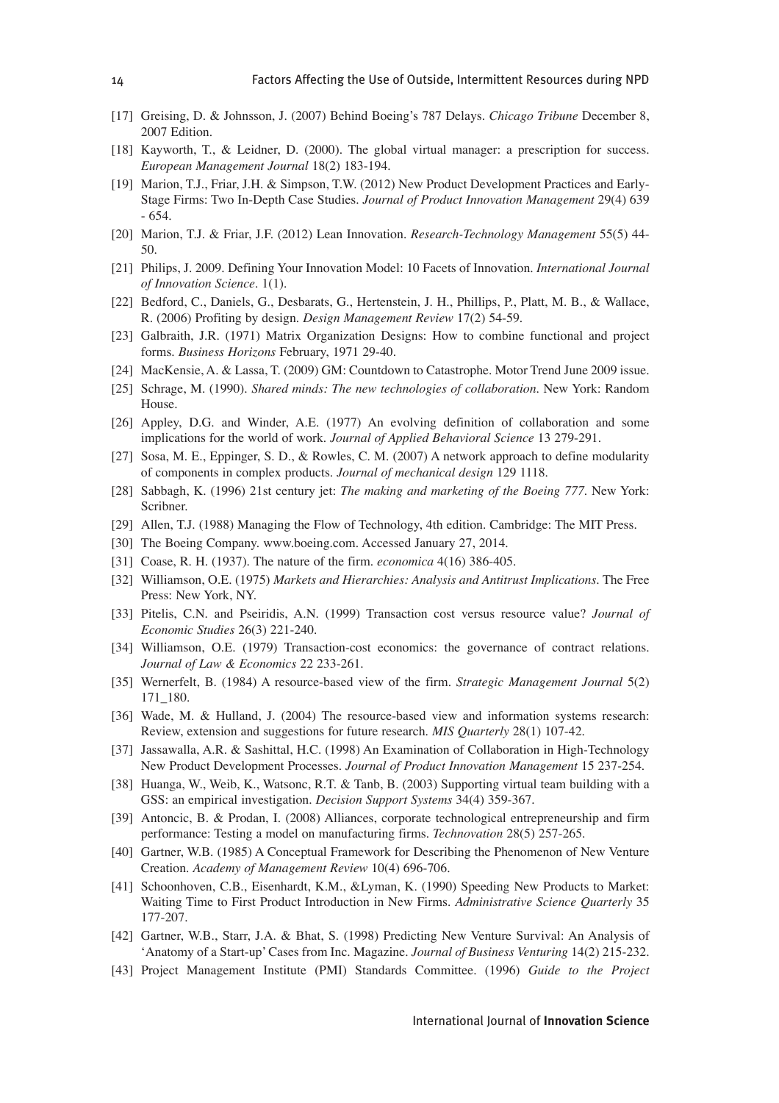- [17] Greising, D. & Johnsson, J. (2007) Behind Boeing's 787 Delays. *Chicago Tribune* December 8, 2007 Edition.
- [18] Kayworth, T., & Leidner, D. (2000). The global virtual manager: a prescription for success. *European Management Journal* 18(2) 183-194.
- [19] Marion, T.J., Friar, J.H. & Simpson, T.W. (2012) New Product Development Practices and Early-Stage Firms: Two In-Depth Case Studies. *Journal of Product Innovation Management* 29(4) 639 - 654.
- [20] Marion, T.J. & Friar, J.F. (2012) Lean Innovation. *Research-Technology Management* 55(5) 44- 50.
- [21] Philips, J. 2009. Defining Your Innovation Model: 10 Facets of Innovation. *International Journal of Innovation Science*. 1(1).
- [22] Bedford, C., Daniels, G., Desbarats, G., Hertenstein, J. H., Phillips, P., Platt, M. B., & Wallace, R. (2006) Profiting by design. *Design Management Review* 17(2) 54-59.
- [23] Galbraith, J.R. (1971) Matrix Organization Designs: How to combine functional and project forms. *Business Horizons* February, 1971 29-40.
- [24] MacKensie, A. & Lassa, T. (2009) GM: Countdown to Catastrophe. Motor Trend June 2009 issue.
- [25] Schrage, M. (1990). *Shared minds: The new technologies of collaboration*. New York: Random House.
- [26] Appley, D.G. and Winder, A.E. (1977) An evolving definition of collaboration and some implications for the world of work. *Journal of Applied Behavioral Science* 13 279-291.
- [27] Sosa, M. E., Eppinger, S. D., & Rowles, C. M. (2007) A network approach to define modularity of components in complex products. *Journal of mechanical design* 129 1118.
- [28] Sabbagh, K. (1996) 21st century jet: *The making and marketing of the Boeing 777*. New York: Scribner.
- [29] Allen, T.J. (1988) Managing the Flow of Technology, 4th edition. Cambridge: The MIT Press.
- [30] The Boeing Company. www.boeing.com. Accessed January 27, 2014.
- [31] Coase, R. H. (1937). The nature of the firm. *economica* 4(16) 386-405.
- [32] Williamson, O.E. (1975) *Markets and Hierarchies: Analysis and Antitrust Implications.* The Free Press: New York, NY.
- [33] Pitelis, C.N. and Pseiridis, A.N. (1999) Transaction cost versus resource value? *Journal of Economic Studies* 26(3) 221-240.
- [34] Williamson, O.E. (1979) Transaction-cost economics: the governance of contract relations. *Journal of Law & Economics* 22 233-261.
- [35] Wernerfelt, B. (1984) A resource-based view of the firm. *Strategic Management Journal* 5(2) 171\_180.
- [36] Wade, M. & Hulland, J. (2004) The resource-based view and information systems research: Review, extension and suggestions for future research. *MIS Quarterly* 28(1) 107-42.
- [37] Jassawalla, A.R. & Sashittal, H.C. (1998) An Examination of Collaboration in High-Technology New Product Development Processes. *Journal of Product Innovation Management* 15 237-254.
- [38] Huanga, W., Weib, K., Watsonc, R.T. & Tanb, B. (2003) Supporting virtual team building with a GSS: an empirical investigation. *Decision Support Systems* 34(4) 359-367.
- [39] Antoncic, B. & Prodan, I. (2008) Alliances, corporate technological entrepreneurship and firm performance: Testing a model on manufacturing firms. *Technovation* 28(5) 257-265.
- [40] Gartner, W.B. (1985) A Conceptual Framework for Describing the Phenomenon of New Venture Creation. *Academy of Management Review* 10(4) 696-706.
- [41] Schoonhoven, C.B., Eisenhardt, K.M., &Lyman, K. (1990) Speeding New Products to Market: Waiting Time to First Product Introduction in New Firms. *Administrative Science Quarterly* 35 177-207.
- [42] Gartner, W.B., Starr, J.A. & Bhat, S. (1998) Predicting New Venture Survival: An Analysis of 'Anatomy of a Start-up' Cases from Inc. Magazine. *Journal of Business Venturing* 14(2) 215-232.
- [43] Project Management Institute (PMI) Standards Committee. (1996) *Guide to the Project*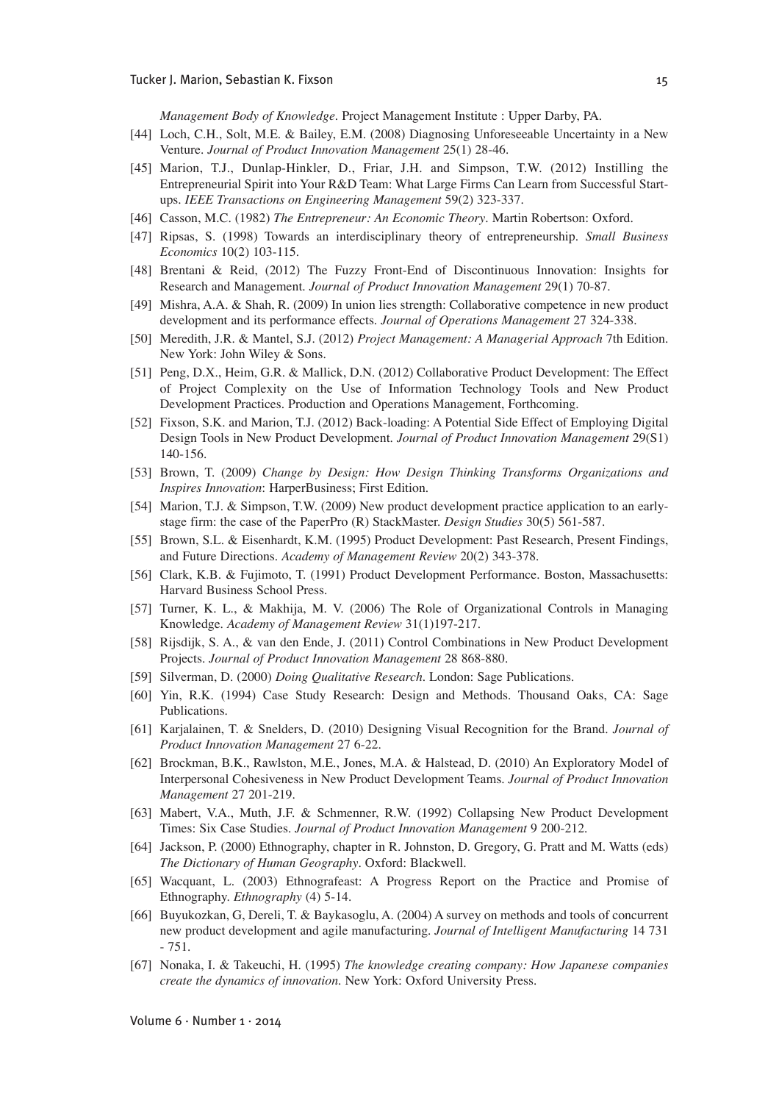*Management Body of Knowledge*. Project Management Institute : Upper Darby, PA.

- [44] Loch, C.H., Solt, M.E. & Bailey, E.M. (2008) Diagnosing Unforeseeable Uncertainty in a New Venture. *Journal of Product Innovation Management* 25(1) 28-46.
- [45] Marion, T.J., Dunlap-Hinkler, D., Friar, J.H. and Simpson, T.W. (2012) Instilling the Entrepreneurial Spirit into Your R&D Team: What Large Firms Can Learn from Successful Startups. *IEEE Transactions on Engineering Management* 59(2) 323-337.
- [46] Casson, M.C. (1982) *The Entrepreneur: An Economic Theory*. Martin Robertson: Oxford.
- [47] Ripsas, S. (1998) Towards an interdisciplinary theory of entrepreneurship. *Small Business Economics* 10(2) 103-115.
- [48] Brentani & Reid, (2012) The Fuzzy Front-End of Discontinuous Innovation: Insights for Research and Management. *Journal of Product Innovation Management* 29(1) 70-87.
- [49] Mishra, A.A. & Shah, R. (2009) In union lies strength: Collaborative competence in new product development and its performance effects. *Journal of Operations Management* 27 324-338.
- [50] Meredith, J.R. & Mantel, S.J. (2012) *Project Management: A Managerial Approach* 7th Edition. New York: John Wiley & Sons.
- [51] Peng, D.X., Heim, G.R. & Mallick, D.N. (2012) Collaborative Product Development: The Effect of Project Complexity on the Use of Information Technology Tools and New Product Development Practices. Production and Operations Management, Forthcoming.
- [52] Fixson, S.K. and Marion, T.J. (2012) Back-loading: A Potential Side Effect of Employing Digital Design Tools in New Product Development. *Journal of Product Innovation Management* 29(S1) 140-156.
- [53] Brown, T. (2009) *Change by Design: How Design Thinking Transforms Organizations and Inspires Innovation*: HarperBusiness; First Edition.
- [54] Marion, T.J. & Simpson, T.W. (2009) New product development practice application to an earlystage firm: the case of the PaperPro (R) StackMaster. *Design Studies* 30(5) 561-587.
- [55] Brown, S.L. & Eisenhardt, K.M. (1995) Product Development: Past Research, Present Findings, and Future Directions. *Academy of Management Review* 20(2) 343-378.
- [56] Clark, K.B. & Fujimoto, T. (1991) Product Development Performance. Boston, Massachusetts: Harvard Business School Press.
- [57] Turner, K. L., & Makhija, M. V. (2006) The Role of Organizational Controls in Managing Knowledge. *Academy of Management Review* 31(1)197-217.
- [58] Rijsdijk, S. A., & van den Ende, J. (2011) Control Combinations in New Product Development Projects. *Journal of Product Innovation Management* 28 868-880.
- [59] Silverman, D. (2000) *Doing Qualitative Research*. London: Sage Publications.
- [60] Yin, R.K. (1994) Case Study Research: Design and Methods. Thousand Oaks, CA: Sage Publications.
- [61] Karjalainen, T. & Snelders, D. (2010) Designing Visual Recognition for the Brand. *Journal of Product Innovation Management* 27 6-22.
- [62] Brockman, B.K., Rawlston, M.E., Jones, M.A. & Halstead, D. (2010) An Exploratory Model of Interpersonal Cohesiveness in New Product Development Teams. *Journal of Product Innovation Management* 27 201-219.
- [63] Mabert, V.A., Muth, J.F. & Schmenner, R.W. (1992) Collapsing New Product Development Times: Six Case Studies. *Journal of Product Innovation Management* 9 200-212.
- [64] Jackson, P. (2000) Ethnography, chapter in R. Johnston, D. Gregory, G. Pratt and M. Watts (eds) *The Dictionary of Human Geography*. Oxford: Blackwell.
- [65] Wacquant, L. (2003) Ethnografeast: A Progress Report on the Practice and Promise of Ethnography. *Ethnography* (4) 5-14.
- [66] Buyukozkan, G, Dereli, T. & Baykasoglu, A. (2004) A survey on methods and tools of concurrent new product development and agile manufacturing. *Journal of Intelligent Manufacturing* 14 731 - 751.
- [67] Nonaka, I. & Takeuchi, H. (1995) *The knowledge creating company: How Japanese companies create the dynamics of innovation*. New York: Oxford University Press.

Volume 6 · Number 1 · 2014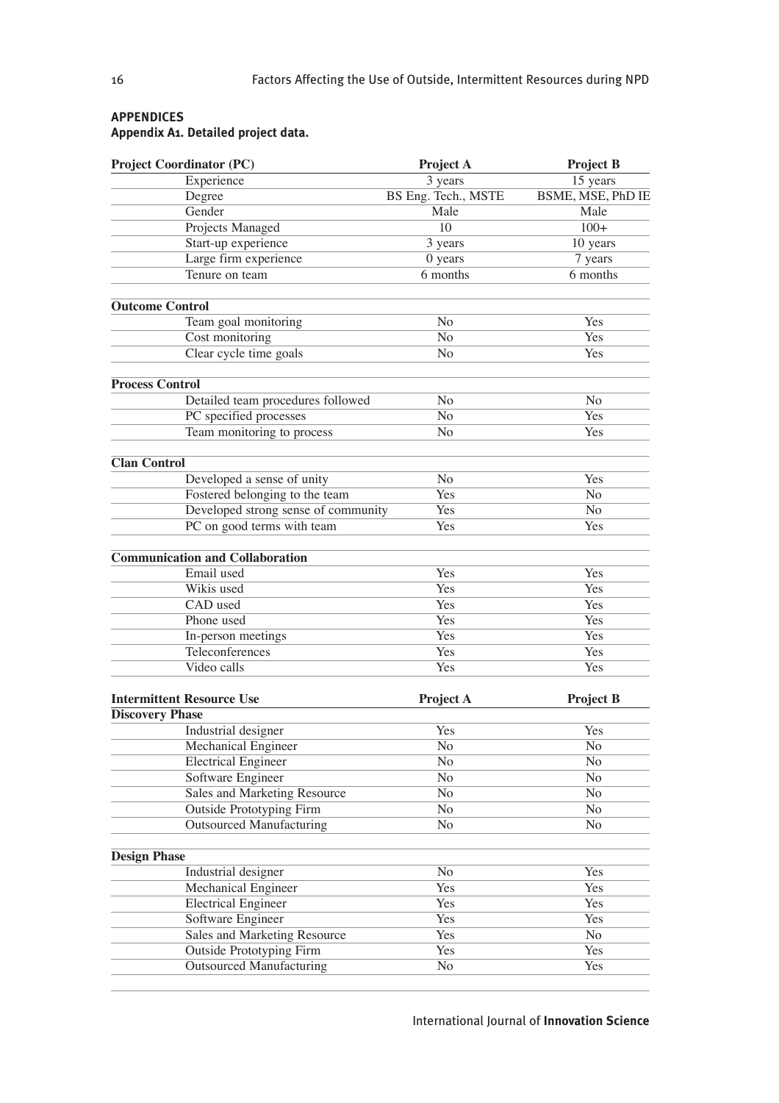| <b>Project Coordinator (PC)</b>                   | <b>Project A</b>    | <b>Project B</b>  |
|---------------------------------------------------|---------------------|-------------------|
| Experience                                        | 3 years             | 15 years          |
| Degree                                            | BS Eng. Tech., MSTE | BSME, MSE, PhD IE |
| Gender                                            | Male                | Male              |
| Projects Managed                                  | 10                  | $100+$            |
| Start-up experience                               | 3 years             | 10 years          |
| Large firm experience                             | 0 years             | 7 years           |
| Tenure on team                                    | 6 months            | 6 months          |
| <b>Outcome Control</b>                            |                     |                   |
| Team goal monitoring                              | No                  | Yes               |
| Cost monitoring                                   | No                  | Yes               |
| Clear cycle time goals                            | No                  | Yes               |
| <b>Process Control</b>                            |                     |                   |
| Detailed team procedures followed                 | No                  | N <sub>o</sub>    |
| PC specified processes                            | No                  | Yes               |
| Team monitoring to process                        | No                  | Yes               |
|                                                   |                     |                   |
| <b>Clan Control</b><br>Developed a sense of unity | No                  | Yes               |
| Fostered belonging to the team                    | Yes                 | N <sub>o</sub>    |
| Developed strong sense of community               | Yes                 | N <sub>o</sub>    |
| PC on good terms with team                        | Yes                 | Yes               |
| <b>Communication and Collaboration</b>            |                     |                   |
| Email used                                        | Yes                 | Yes               |
| Wikis used                                        | Yes                 | Yes               |
| CAD used                                          | Yes                 | Yes               |
| Phone used                                        | Yes                 | Yes               |
| In-person meetings                                | Yes                 | Yes               |
| Teleconferences                                   | Yes                 | Yes               |
| Video calls                                       | Yes                 | Yes               |
| <b>Intermittent Resource Use</b>                  | <b>Project A</b>    | <b>Project B</b>  |
| <b>Discovery Phase</b>                            |                     |                   |
| Industrial designer                               | Yes                 | Yes               |
| Mechanical Engineer                               | N <sub>o</sub>      | N <sub>0</sub>    |
| <b>Electrical Engineer</b>                        | No                  | No                |
| Software Engineer                                 | No                  | No                |
| Sales and Marketing Resource                      | No                  | No                |
| Outside Prototyping Firm                          | No                  | No                |
| Outsourced Manufacturing                          | N <sub>o</sub>      | N <sub>o</sub>    |
| <b>Design Phase</b>                               |                     |                   |
| Industrial designer                               | No                  | Yes               |
| Mechanical Engineer                               | Yes                 | Yes               |
| <b>Electrical Engineer</b>                        | Yes                 | Yes               |
| Software Engineer                                 | Yes                 | Yes               |
| Sales and Marketing Resource                      | Yes                 | No                |
| Outside Prototyping Firm                          | Yes                 | Yes               |
| <b>Outsourced Manufacturing</b>                   | No                  | Yes               |

## **APPENDICES Appendix A1. Detailed project data.**

International Journal of **Innovation Science**